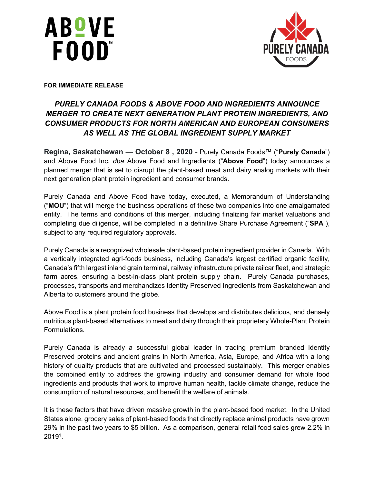



**FOR IMMEDIATE RELEASE**

# *PURELY CANADA FOODS & ABOVE FOOD AND INGREDIENTS ANNOUNCE MERGER TO CREATE NEXT GENERATION PLANT PROTEIN INGREDIENTS, AND CONSUMER PRODUCTS FOR NORTH AMERICAN AND EUROPEAN CONSUMERS AS WELL AS THE GLOBAL INGREDIENT SUPPLY MARKET*

**Regina, Saskatchewan** — **October 8 , 2020 -** Purely Canada Foods™ ("**Purely Canada**") and Above Food Inc. *dba* Above Food and Ingredients ("**Above Food**") today announces a planned merger that is set to disrupt the plant-based meat and dairy analog markets with their next generation plant protein ingredient and consumer brands.

Purely Canada and Above Food have today, executed, a Memorandum of Understanding ("**MOU**") that will merge the business operations of these two companies into one amalgamated entity. The terms and conditions of this merger, including finalizing fair market valuations and completing due diligence, will be completed in a definitive Share Purchase Agreement ("**SPA**"), subject to any required regulatory approvals.

Purely Canada is a recognized wholesale plant-based protein ingredient provider in Canada. With a vertically integrated agri-foods business, including Canada's largest certified organic facility, Canada's fifth largest inland grain terminal, railway infrastructure private railcar fleet, and strategic farm acres, ensuring a best-in-class plant protein supply chain. Purely Canada purchases, processes, transports and merchandizes Identity Preserved Ingredients from Saskatchewan and Alberta to customers around the globe.

Above Food is a plant protein food business that develops and distributes delicious, and densely nutritious plant-based alternatives to meat and dairy through their proprietary Whole-Plant Protein Formulations.

Purely Canada is already a successful global leader in trading premium branded Identity Preserved proteins and ancient grains in North America, Asia, Europe, and Africa with a long history of quality products that are cultivated and processed sustainably. This merger enables the combined entity to address the growing industry and consumer demand for whole food ingredients and products that work to improve human health, tackle climate change, reduce the consumption of natural resources, and benefit the welfare of animals.

It is these factors that have driven massive growth in the plant-based food market. In the United States alone, grocery sales of plant-based foods that directly replace animal products have grown 29% in the past two years to \$5 billion. As a comparison, general retail food sales grew 2.2% in  $2019<sup>1</sup>$ .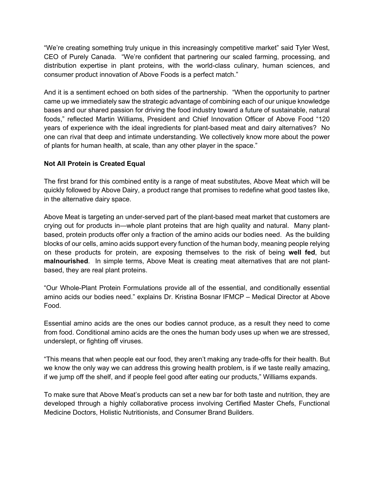"We're creating something truly unique in this increasingly competitive market" said Tyler West, CEO of Purely Canada. "We're confident that partnering our scaled farming, processing, and distribution expertise in plant proteins, with the world-class culinary, human sciences, and consumer product innovation of Above Foods is a perfect match."

And it is a sentiment echoed on both sides of the partnership. "When the opportunity to partner came up we immediately saw the strategic advantage of combining each of our unique knowledge bases and our shared passion for driving the food industry toward a future of sustainable, natural foods," reflected Martin Williams, President and Chief Innovation Officer of Above Food "120 years of experience with the ideal ingredients for plant-based meat and dairy alternatives? No one can rival that deep and intimate understanding. We collectively know more about the power of plants for human health, at scale, than any other player in the space."

## **Not All Protein is Created Equal**

The first brand for this combined entity is a range of meat substitutes, Above Meat which will be quickly followed by Above Dairy, a product range that promises to redefine what good tastes like, in the alternative dairy space.

Above Meat is targeting an under-served part of the plant-based meat market that customers are crying out for products in—whole plant proteins that are high quality and natural. Many plantbased, protein products offer only a fraction of the amino acids our bodies need. As the building blocks of our cells, amino acids support every function of the human body, meaning people relying on these products for protein, are exposing themselves to the risk of being **well fed**, but **malnourished**. In simple terms, Above Meat is creating meat alternatives that are not plantbased, they are real plant proteins.

"Our Whole-Plant Protein Formulations provide all of the essential, and conditionally essential amino acids our bodies need." explains Dr. Kristina Bosnar IFMCP – Medical Director at Above Food.

Essential amino acids are the ones our bodies cannot produce, as a result they need to come from food. Conditional amino acids are the ones the human body uses up when we are stressed, underslept, or fighting off viruses.

"This means that when people eat our food, they aren't making any trade-offs for their health. But we know the only way we can address this growing health problem, is if we taste really amazing, if we jump off the shelf, and if people feel good after eating our products," Williams expands.

To make sure that Above Meat's products can set a new bar for both taste and nutrition, they are developed through a highly collaborative process involving Certified Master Chefs, Functional Medicine Doctors, Holistic Nutritionists, and Consumer Brand Builders.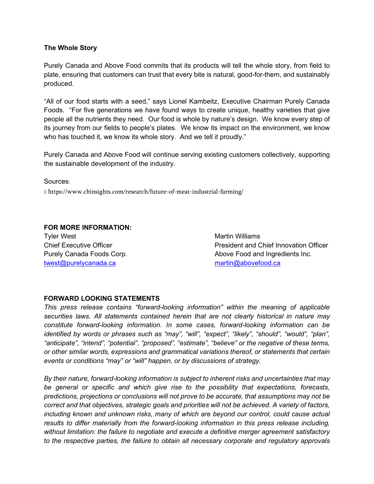### **The Whole Story**

Purely Canada and Above Food commits that its products will tell the whole story, from field to plate, ensuring that customers can trust that every bite is natural, good-for-them, and sustainably produced.

"All of our food starts with a seed," says Lionel Kambeitz, Executive Chairman Purely Canada Foods. "For five generations we have found ways to create unique, healthy varieties that give people all the nutrients they need. Our food is whole by nature's design. We know every step of its journey from our fields to people's plates. We know its impact on the environment, we know who has touched it, we know its whole story. And we tell it proudly."

Purely Canada and Above Food will continue serving existing customers collectively, supporting the sustainable development of the industry.

Sources:

1 [https://www.cbinsights.com/research/future-of-meat-industrial-farming/](https://cts.businesswire.com/ct/CT?id=smartlink&url=https%3A%2F%2Fwww.cbinsights.com%2Fresearch%2Ffuture-of-meat-industrial-farming%2F&esheet=52282157&newsitemid=20200909005240&lan=en-US&anchor=https%3A%2F%2Fwww.cbinsights.com%2Fresearch%2Ffuture-of-meat-industrial-farming%2F&index=1&md5=b9b3899b9d6e345226016b28dfc25bbc)

#### **FOR MORE INFORMATION:**

Tyler West **Martin Williams** Martin Williams [twest@purelycanada.ca](mailto:twest@purelycanada.ca) [martin@abovefood.ca](mailto:martin@abovefood.ca)

Chief Executive Officer President and Chief Innovation Officer Purely Canada Foods Corp. **All accords** Above Food and Ingredients Inc.

#### **FORWARD LOOKING STATEMENTS**

*This press release contains "forward-looking information" within the meaning of applicable securities laws. All statements contained herein that are not clearly historical in nature may constitute forward-looking information. In some cases, forward-looking information can be identified by words or phrases such as "may", "will", "expect", "likely", "should", "would", "plan", "anticipate", "intend", "potential", "proposed", "estimate", "believe" or the negative of these terms, or other similar words, expressions and grammatical variations thereof, or statements that certain events or conditions "may" or "will" happen, or by discussions of strategy.*

*By their nature, forward-looking information is subject to inherent risks and uncertainties that may be general or specific and which give rise to the possibility that expectations, forecasts, predictions, projections or conclusions will not prove to be accurate, that assumptions may not be correct and that objectives, strategic goals and priorities will not be achieved. A variety of factors, including known and unknown risks, many of which are beyond our control, could cause actual results to differ materially from the forward-looking information in this press release including, without limitation: the failure to negotiate and execute a definitive merger agreement satisfactory to the respective parties, the failure to obtain all necessary corporate and regulatory approvals*